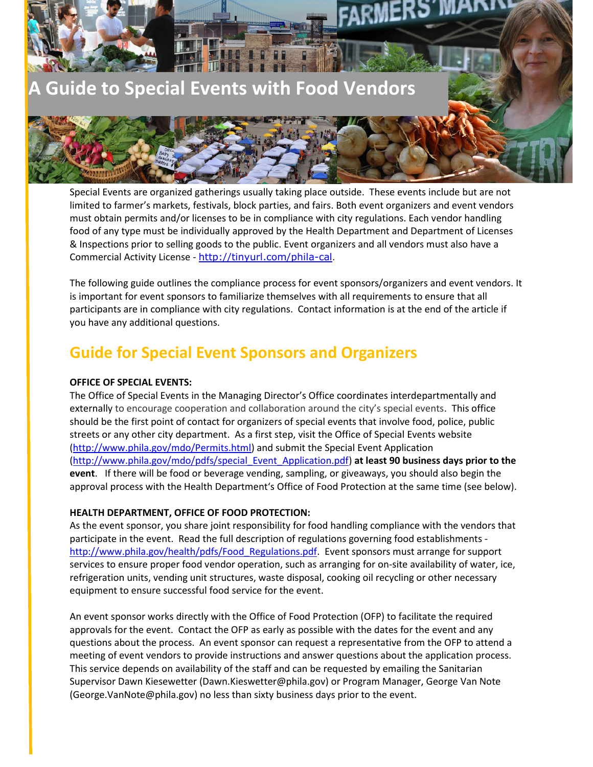

Special Events are organized gatherings usually taking place outside. These events include but are not limited to farmer's markets, festivals, block parties, and fairs. Both event organizers and event vendors must obtain permits and/or licenses to be in compliance with city regulations. Each vendor handling food of any type must be individually approved by the Health Department and Department of Licenses & Inspections prior to selling goods to the public. Event organizers and all vendors must also have a Commercial Activity License - http://tinyurl.com/phila-cal.

The following guide outlines the compliance process for event sponsors/organizers and event vendors. It is important for event sponsors to familiarize themselves with all requirements to ensure that all participants are in compliance with city regulations. Contact information is at the end of the article if you have any additional questions.

# **Guide for Special Event Sponsors and Organizers**

### **OFFICE OF SPECIAL EVENTS:**

The Office of Special Events in the Managing Director's Office coordinates interdepartmentally and externally to encourage cooperation and collaboration around the city's special events. This office should be the first point of contact for organizers of special events that involve food, police, public streets or any other city department. As a first step, visit the Office of Special Events website (http://www.phila.gov/mdo/Permits.html) and submit the Special Event Application (http://www.phila.gov/mdo/pdfs/special\_Event\_Application.pdf) **at least 90 business days prior to the event**. If there will be food or beverage vending, sampling, or giveaways, you should also begin the approval process with the Health Department's Office of Food Protection at the same time (see below).

#### **HEALTH DEPARTMENT, OFFICE OF FOOD PROTECTION:**

As the event sponsor, you share joint responsibility for food handling compliance with the vendors that participate in the event. Read the full description of regulations governing food establishments http://www.phila.gov/health/pdfs/Food\_Regulations.pdf. Event sponsors must arrange for support services to ensure proper food vendor operation, such as arranging for on-site availability of water, ice, refrigeration units, vending unit structures, waste disposal, cooking oil recycling or other necessary equipment to ensure successful food service for the event.

An event sponsor works directly with the Office of Food Protection (OFP) to facilitate the required approvals for the event. Contact the OFP as early as possible with the dates for the event and any questions about the process. An event sponsor can request a representative from the OFP to attend a meeting of event vendors to provide instructions and answer questions about the application process. This service depends on availability of the staff and can be requested by emailing the Sanitarian Supervisor Dawn Kiesewetter (Dawn.Kieswetter@phila.gov) or Program Manager, George Van Note (George.VanNote@phila.gov) no less than sixty business days prior to the event.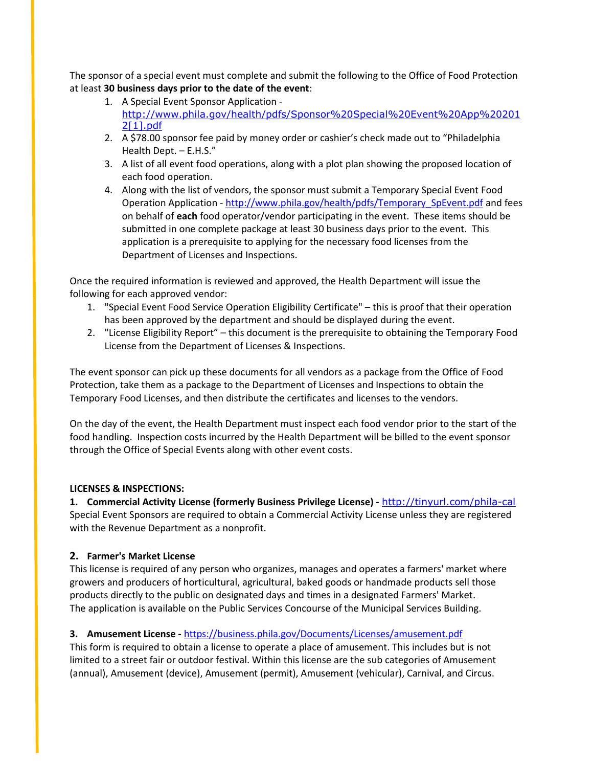The sponsor of a special event must complete and submit the following to the Office of Food Protection at least **30 business days prior to the date of the event**:

- 1. A Special Event Sponsor Application http://www.phila.gov/health/pdfs/Sponsor%20Special%20Event%20App%20201 2[1].pdf
- 2. A \$78.00 sponsor fee paid by money order or cashier's check made out to "Philadelphia Health Dept. – E.H.S."
- 3. A list of all event food operations, along with a plot plan showing the proposed location of each food operation.
- 4. Along with the list of vendors, the sponsor must submit a Temporary Special Event Food Operation Application - http://www.phila.gov/health/pdfs/Temporary\_SpEvent.pdf and fees on behalf of **each** food operator/vendor participating in the event. These items should be submitted in one complete package at least 30 business days prior to the event. This application is a prerequisite to applying for the necessary food licenses from the Department of Licenses and Inspections.

Once the required information is reviewed and approved, the Health Department will issue the following for each approved vendor:

- 1. "Special Event Food Service Operation Eligibility Certificate" this is proof that their operation has been approved by the department and should be displayed during the event.
- 2. "License Eligibility Report" this document is the prerequisite to obtaining the Temporary Food License from the Department of Licenses & Inspections.

The event sponsor can pick up these documents for all vendors as a package from the Office of Food Protection, take them as a package to the Department of Licenses and Inspections to obtain the Temporary Food Licenses, and then distribute the certificates and licenses to the vendors.

On the day of the event, the Health Department must inspect each food vendor prior to the start of the food handling. Inspection costs incurred by the Health Department will be billed to the event sponsor through the Office of Special Events along with other event costs.

# **LICENSES & INSPECTIONS:**

**1. Commercial Activity License (formerly Business Privilege License) -** http://tinyurl.com/phila-cal Special Event Sponsors are required to obtain a Commercial Activity License unless they are registered with the Revenue Department as a nonprofit.

# **2. Farmer's Market License**

This license is required of any person who organizes, manages and operates a farmers' market where growers and producers of horticultural, agricultural, baked goods or handmade products sell those products directly to the public on designated days and times in a designated Farmers' Market. The application is available on the Public Services Concourse of the Municipal Services Building.

# **3. Amusement License -** https://business.phila.gov/Documents/Licenses/amusement.pdf

This form is required to obtain a license to operate a place of amusement. This includes but is not limited to a street fair or outdoor festival. Within this license are the sub categories of Amusement (annual), Amusement (device), Amusement (permit), Amusement (vehicular), Carnival, and Circus.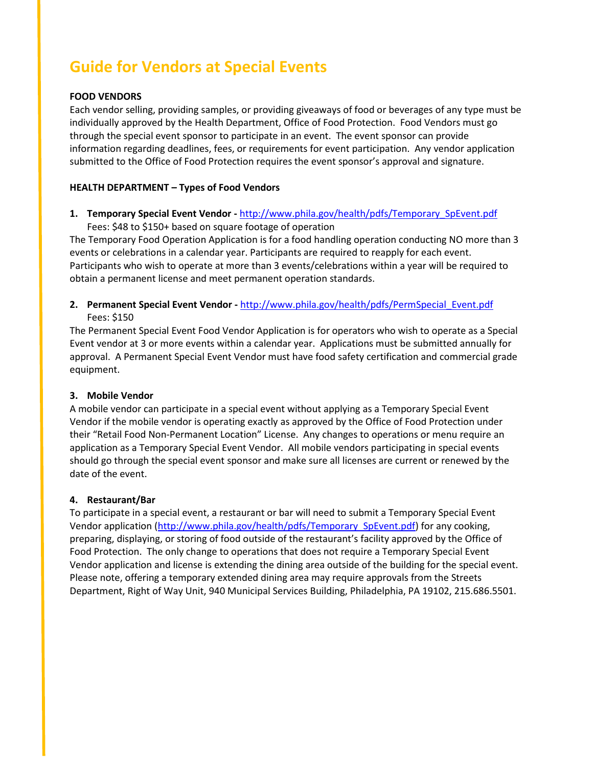# **Guide for Vendors at Special Events**

#### **FOOD VENDORS**

Each vendor selling, providing samples, or providing giveaways of food or beverages of any type must be individually approved by the Health Department, Office of Food Protection. Food Vendors must go through the special event sponsor to participate in an event. The event sponsor can provide information regarding deadlines, fees, or requirements for event participation. Any vendor application submitted to the Office of Food Protection requires the event sponsor's approval and signature.

#### **HEALTH DEPARTMENT – Types of Food Vendors**

**1. Temporary Special Event Vendor -** http://www.phila.gov/health/pdfs/Temporary\_SpEvent.pdf Fees: \$48 to \$150+ based on square footage of operation

The Temporary Food Operation Application is for a food handling operation conducting NO more than 3 events or celebrations in a calendar year. Participants are required to reapply for each event. Participants who wish to operate at more than 3 events/celebrations within a year will be required to obtain a permanent license and meet permanent operation standards.

**2. Permanent Special Event Vendor -** http://www.phila.gov/health/pdfs/PermSpecial\_Event.pdf Fees: \$150

The Permanent Special Event Food Vendor Application is for operators who wish to operate as a Special Event vendor at 3 or more events within a calendar year. Applications must be submitted annually for approval. A Permanent Special Event Vendor must have food safety certification and commercial grade equipment.

# **3. Mobile Vendor**

A mobile vendor can participate in a special event without applying as a Temporary Special Event Vendor if the mobile vendor is operating exactly as approved by the Office of Food Protection under their "Retail Food Non-Permanent Location" License. Any changes to operations or menu require an application as a Temporary Special Event Vendor. All mobile vendors participating in special events should go through the special event sponsor and make sure all licenses are current or renewed by the date of the event.

#### **4. Restaurant/Bar**

To participate in a special event, a restaurant or bar will need to submit a Temporary Special Event Vendor application (http://www.phila.gov/health/pdfs/Temporary\_SpEvent.pdf) for any cooking, preparing, displaying, or storing of food outside of the restaurant's facility approved by the Office of Food Protection. The only change to operations that does not require a Temporary Special Event Vendor application and license is extending the dining area outside of the building for the special event. Please note, offering a temporary extended dining area may require approvals from the Streets Department, Right of Way Unit, 940 Municipal Services Building, Philadelphia, PA 19102, 215.686.5501.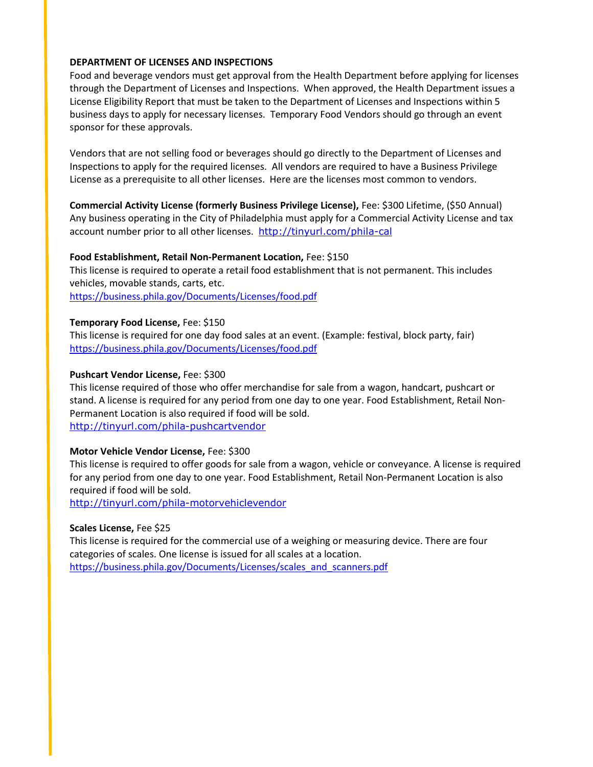#### **DEPARTMENT OF LICENSES AND INSPECTIONS**

Food and beverage vendors must get approval from the Health Department before applying for licenses through the Department of Licenses and Inspections. When approved, the Health Department issues a License Eligibility Report that must be taken to the Department of Licenses and Inspections within 5 business days to apply for necessary licenses. Temporary Food Vendors should go through an event sponsor for these approvals.

Vendors that are not selling food or beverages should go directly to the Department of Licenses and Inspections to apply for the required licenses. All vendors are required to have a Business Privilege License as a prerequisite to all other licenses. Here are the licenses most common to vendors.

**Commercial Activity License (formerly Business Privilege License),** Fee: \$300 Lifetime, (\$50 Annual) Any business operating in the City of Philadelphia must apply for a Commercial Activity License and tax account number prior to all other licenses. http://tinyurl.com/phila-cal

#### **Food Establishment, Retail Non-Permanent Location,** Fee: \$150

This license is required to operate a retail food establishment that is not permanent. This includes vehicles, movable stands, carts, etc. https://business.phila.gov/Documents/Licenses/food.pdf

#### **Temporary Food License,** Fee: \$150

This license is required for one day food sales at an event. (Example: festival, block party, fair) https://business.phila.gov/Documents/Licenses/food.pdf

#### **Pushcart Vendor License,** Fee: \$300

This license required of those who offer merchandise for sale from a wagon, handcart, pushcart or stand. A license is required for any period from one day to one year. Food Establishment, Retail Non-Permanent Location is also required if food will be sold. http://tinyurl.com/phila-pushcartvendor

#### **Motor Vehicle Vendor License,** Fee: \$300

This license is required to offer goods for sale from a wagon, vehicle or conveyance. A license is required for any period from one day to one year. Food Establishment, Retail Non-Permanent Location is also required if food will be sold.

http://tinyurl.com/phila-motorvehiclevendor

#### **Scales License,** Fee \$25

This license is required for the commercial use of a weighing or measuring device. There are four categories of scales. One license is issued for all scales at a location. https://business.phila.gov/Documents/Licenses/scales\_and\_scanners.pdf